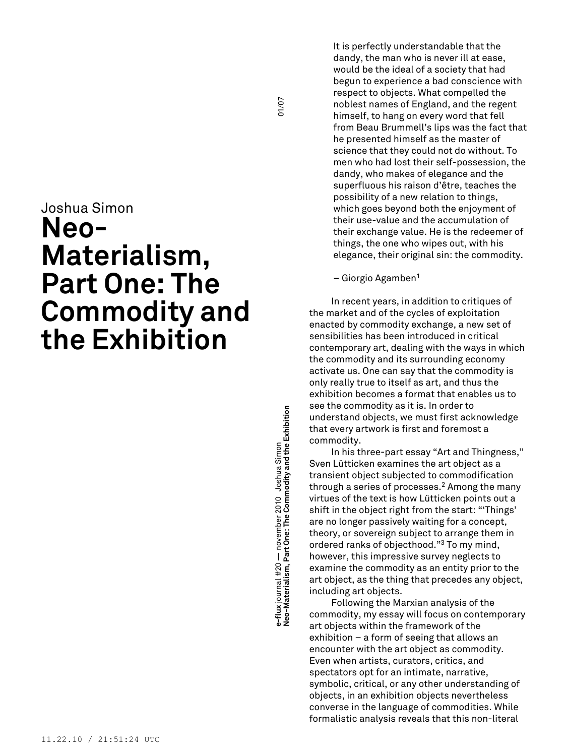# Joshua Simon **Neo-Materialism, Part One: The Commodity and the Exhibition**

**modity and the Exhibition** 01/07 e-flux journal #20 — november 2010 <u>Joshua Simon</u><br>Neo-Materialism, Part One: The Commodity and the Exhibition **e-flux** journal #20 — november 2010 Joshua Simon **Neo-Materialism, Part One: The Com** It is perfectly understandable that the dandy, the man who is never ill at ease, would be the ideal of a society that had begun to experience a bad conscience with respect to objects. What compelled the noblest names of England, and the regent himself, to hang on every word that fell from Beau Brummell's lips was the fact that he presented himself as the master of science that they could not do without. To men who had lost their self-possession, the dandy, who makes of elegance and the superfluous his raison d'être, teaches the possibility of a new relation to things, which goes beyond both the enjoyment of their use-value and the accumulation of their exchange value. He is the redeemer of things, the one who wipes out, with his elegance, their original sin: the commodity.

– Giorgio Agamben<sup>1</sup>

In recent years, in addition to critiques of the market and of the cycles of exploitation enacted by commodity exchange, a new set of sensibilities has been introduced in critical contemporary art, dealing with the ways in which the commodity and its surrounding economy activate us. One can say that the commodity is only really true to itself as art, and thus the exhibition becomes a format that enables us to see the commodity as it is. In order to understand objects, we must first acknowledge that every artwork is first and foremost a commodity.

In his three-part essay "Art and Thingness," Sven Lütticken examines the art object as a transient object subjected to commodification through a series of processes. <sup>2</sup> Among the many virtues of the text is how Lütticken points out a shift in the object right from the start: "'Things' are no longer passively waiting for a concept, theory, or sovereign subject to arrange them in ordered ranks of objecthood." <sup>3</sup> To my mind, however, this impressive survey neglects to examine the commodity as an entity prior to the art object, as the thing that precedes any object, including art objects.

Following the Marxian analysis of the commodity, my essay will focus on contemporary art objects within the framework of the exhibition – a form of seeing that allows an encounter with the art object as commodity. Even when artists, curators, critics, and spectators opt for an intimate, narrative, symbolic, critical, or any other understanding of objects, in an exhibition objects nevertheless converse in the language of commodities. While formalistic analysis reveals that this non-literal

01/07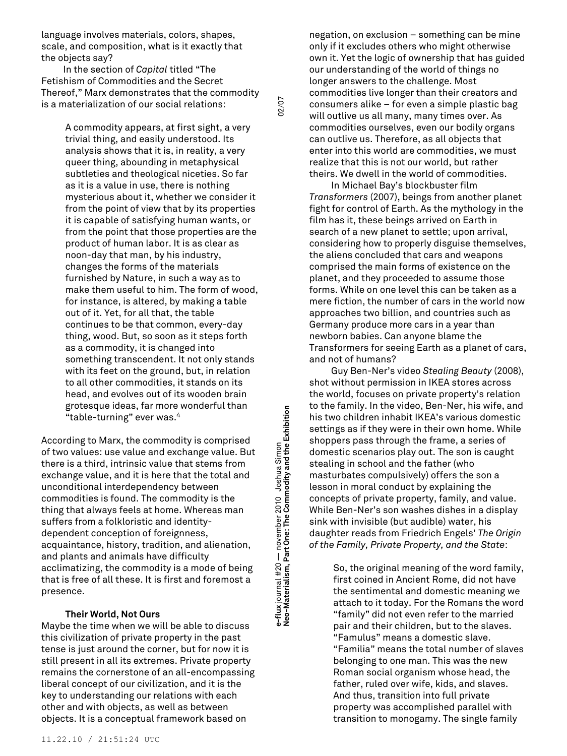language involves materials, colors, shapes, scale, and composition, what is it exactly that the objects say?

In the section of *Capital* titled "The Fetishism of Commodities and the Secret Thereof," Marx demonstrates that the commodity is a materialization of our social relations:

02/07 **modity and the Exhibition** 02/07

**e-flux** journal #20 — november 2010 Joshua Simon

e-flux journal #20 — november 2010 <u>Joshua Simon</u><br>Neo-Materialism, Part One: The Commodity and the Exhibition

**Neo-Materialism, Part One: The Com**

A commodity appears, at first sight, a very trivial thing, and easily understood. Its analysis shows that it is, in reality, a very queer thing, abounding in metaphysical subtleties and theological niceties. So far as it is a value in use, there is nothing mysterious about it, whether we consider it from the point of view that by its properties it is capable of satisfying human wants, or from the point that those properties are the product of human labor. It is as clear as noon-day that man, by his industry, changes the forms of the materials furnished by Nature, in such a way as to make them useful to him. The form of wood, for instance, is altered, by making a table out of it. Yet, for all that, the table continues to be that common, every-day thing, wood. But, so soon as it steps forth as a commodity, it is changed into something transcendent. It not only stands with its feet on the ground, but, in relation to all other commodities, it stands on its head, and evolves out of its wooden brain grotesque ideas, far more wonderful than "table-turning" ever was. 4

According to Marx, the commodity is comprised of two values: use value and exchange value. But there is a third, intrinsic value that stems from exchange value, and it is here that the total and unconditional interdependency between commodities is found. The commodity is the thing that always feels at home. Whereas man suffers from a folkloristic and identitydependent conception of foreignness, acquaintance, history, tradition, and alienation, and plants and animals have difficulty acclimatizing, the commodity is a mode of being that is free of all these. It is first and foremost a presence.

# **Their World, Not Ours**

Maybe the time when we will be able to discuss this civilization of private property in the past tense is just around the corner, but for now it is still present in all its extremes. Private property remains the cornerstone of an all-encompassing liberal concept of our civilization, and it is the key to understanding our relations with each other and with objects, as well as between objects. It is a conceptual framework based on

negation, on exclusion – something can be mine only if it excludes others who might otherwise own it. Yet the logic of ownership that has guided our understanding of the world of things no longer answers to the challenge. Most commodities live longer than their creators and consumers alike – for even a simple plastic bag will outlive us all many, many times over. As commodities ourselves, even our bodily organs can outlive us. Therefore, as all objects that enter into this world are commodities, we must realize that this is not our world, but rather theirs. We dwell in the world of commodities.

In Michael Bay's blockbuster film *Transformers* (2007), beings from another planet fight for control of Earth. As the mythology in the film has it, these beings arrived on Earth in search of a new planet to settle; upon arrival, considering how to properly disguise themselves, the aliens concluded that cars and weapons comprised the main forms of existence on the planet, and they proceeded to assume those forms. While on one level this can be taken as a mere fiction, the number of cars in the world now approaches two billion, and countries such as Germany produce more cars in a year than newborn babies. Can anyone blame the Transformers for seeing Earth as a planet of cars, and not of humans?

Guy Ben-Ner's video *Stealing Beauty* (2008), shot without permission in IKEA stores across the world, focuses on private property's relation to the family. In the video, Ben-Ner, his wife, and his two children inhabit IKEA's various domestic settings as if they were in their own home. While shoppers pass through the frame, a series of domestic scenarios play out. The son is caught stealing in school and the father (who masturbates compulsively) offers the son a lesson in moral conduct by explaining the concepts of private property, family, and value. While Ben-Ner's son washes dishes in a display sink with invisible (but audible) water, his daughter reads from Friedrich Engels' *The Origin of the Family, Private Property, and the State*:

> So, the original meaning of the word family, first coined in Ancient Rome, did not have the sentimental and domestic meaning we attach to it today. For the Romans the word "family" did not even refer to the married pair and their children, but to the slaves. "Famulus" means a domestic slave. "Familia" means the total number of slaves belonging to one man. This was the new Roman social organism whose head, the father, ruled over wife, kids, and slaves. And thus, transition into full private property was accomplished parallel with transition to monogamy. The single family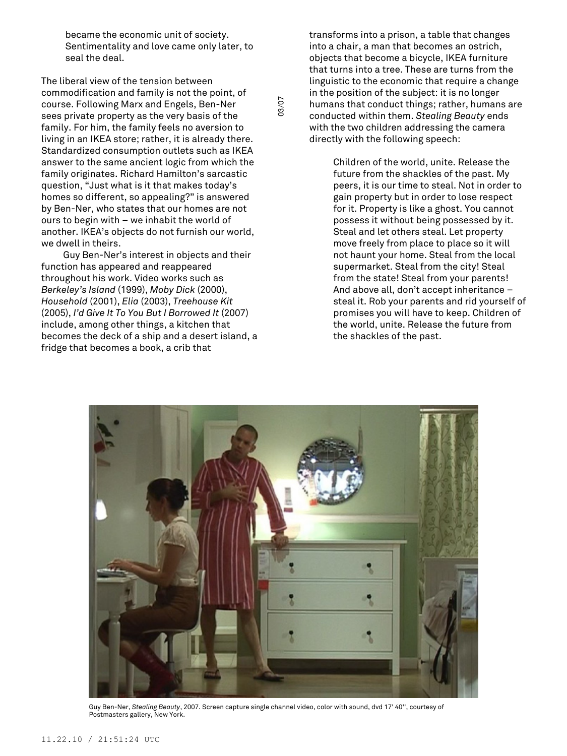became the economic unit of society. Sentimentality and love came only later, to seal the deal.

The liberal view of the tension between commodification and family is not the point, of course. Following Marx and Engels, Ben-Ner sees private property as the very basis of the family. For him, the family feels no aversion to living in an IKEA store; rather, it is already there. Standardized consumption outlets such as IKEA answer to the same ancient logic from which the family originates. Richard Hamilton's sarcastic question, "Just what is it that makes today's homes so different, so appealing?" is answered by Ben-Ner, who states that our homes are not ours to begin with – we inhabit the world of another. IKEA's objects do not furnish our world, we dwell in theirs.

Guy Ben-Ner's interest in objects and their function has appeared and reappeared throughout his work. Video works such as *Berkeley's Island* (1999), *Moby Dick* (2000), *Household* (2001), *Elia* (2003), *Treehouse Kit* (2005), *I'd Give It To You But I Borrowed It* (2007) include, among other things, a kitchen that becomes the deck of a ship and a desert island, a fridge that becomes a book, a crib that

transforms into a prison, a table that changes into a chair, a man that becomes an ostrich, objects that become a bicycle, IKEA furniture that turns into a tree. These are turns from the linguistic to the economic that require a change in the position of the subject: it is no longer humans that conduct things; rather, humans are conducted within them. *Stealing Beauty* ends with the two children addressing the camera directly with the following speech:

> Children of the world, unite. Release the future from the shackles of the past. My peers, it is our time to steal. Not in order to gain property but in order to lose respect for it. Property is like a ghost. You cannot possess it without being possessed by it. Steal and let others steal. Let property move freely from place to place so it will not haunt your home. Steal from the local supermarket. Steal from the city! Steal from the state! Steal from your parents! And above all, don't accept inheritance – steal it. Rob your parents and rid yourself of promises you will have to keep. Children of the world, unite. Release the future from the shackles of the past.



03/07

Guy Ben-Ner, *Stealing Beauty*, 2007. Screen capture single channel video, color with sound, dvd 17' 40'', courtesy of Postmasters gallery, New York.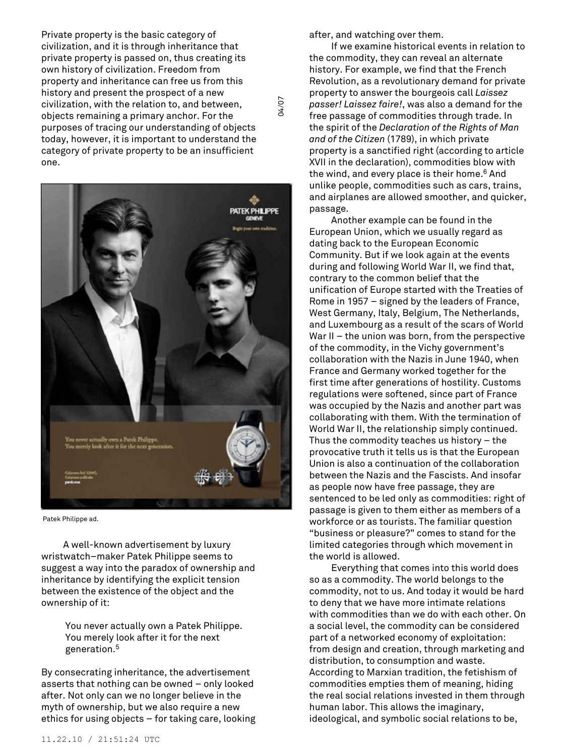Private property is the basic category of civilization, and it is through inheritance that private property is passed on, thus creating its own history of civilization. Freedom from property and inheritance can free us from this history and present the prospect of a new civilization, with the relation to, and between, objects remaining a primary anchor. For the purposes of tracing our understanding of objects today, however, it is important to understand the category of private property to be an insufficient one.



Patek Philippe ad.

A well-known advertisement by luxury wristwatch–maker Patek Philippe seems to suggest a way into the paradox of ownership and inheritance by identifying the explicit tension between the existence of the object and the ownership of it:

> You never actually own a Patek Philippe. You merely look after it for the next generation. 5

By consecrating inheritance, the advertisement asserts that nothing can be owned – only looked after. Not only can we no longer believe in the myth of ownership, but we also require a new ethics for using objects – for taking care, looking after, and watching over them.

04/07

If we examine historical events in relation to the commodity, they can reveal an alternate history. For example, we find that the French Revolution, as a revolutionary demand for private property to answer the bourgeois call *Laissez passer! Laissez faire!*, was also a demand for the free passage of commodities through trade. In the spirit of the *Declaration of the Rights of Man and of the Citizen* (1789), in which private property is a sanctified right (according to article XVII in the declaration), commodities blow with the wind, and every place is their home. <sup>6</sup> And unlike people, commodities such as cars, trains, and airplanes are allowed smoother, and quicker, passage.

Another example can be found in the European Union, which we usually regard as dating back to the European Economic Community. But if we look again at the events during and following World War II, we find that, contrary to the common belief that the unification of Europe started with the Treaties of Rome in 1957 – signed by the leaders of France, West Germany, Italy, Belgium, The Netherlands, and Luxembourg as a result of the scars of World War II – the union was born, from the perspective of the commodity, in the Vichy government's collaboration with the Nazis in June 1940, when France and Germany worked together for the first time after generations of hostility. Customs regulations were softened, since part of France was occupied by the Nazis and another part was collaborating with them. With the termination of World War II, the relationship simply continued. Thus the commodity teaches us history – the provocative truth it tells us is that the European Union is also a continuation of the collaboration between the Nazis and the Fascists. And insofar as people now have free passage, they are sentenced to be led only as commodities: right of passage is given to them either as members of a workforce or as tourists. The familiar question "business or pleasure?" comes to stand for the limited categories through which movement in the world is allowed.

Everything that comes into this world does so as a commodity. The world belongs to the commodity, not to us. And today it would be hard to deny that we have more intimate relations with commodities than we do with each other. On a social level, the commodity can be considered part of a networked economy of exploitation: from design and creation, through marketing and distribution, to consumption and waste. According to Marxian tradition, the fetishism of commodities empties them of meaning, hiding the real social relations invested in them through human labor. This allows the imaginary, ideological, and symbolic social relations to be,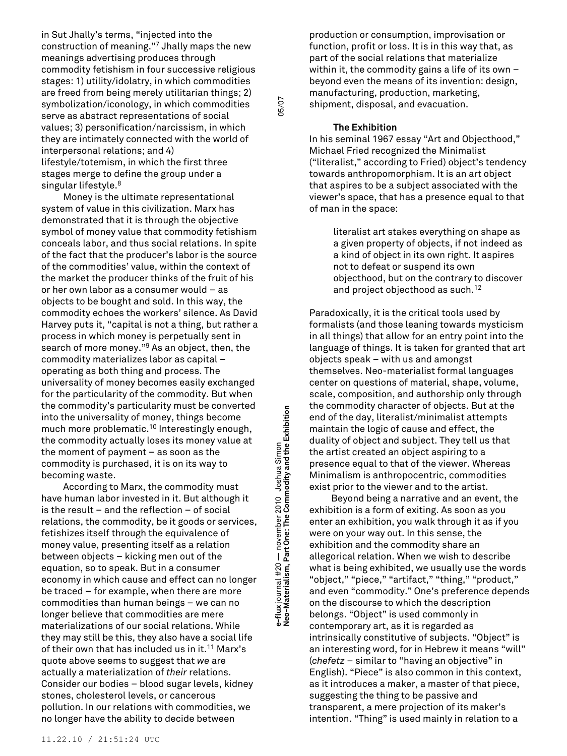in Sut Jhally's terms, "injected into the construction of meaning." <sup>7</sup> Jhally maps the new meanings advertising produces through commodity fetishism in four successive religious stages: 1) utility/idolatry, in which commodities are freed from being merely utilitarian things; 2) symbolization/iconology, in which commodities serve as abstract representations of social values; 3) personification/narcissism, in which they are intimately connected with the world of interpersonal relations; and 4) lifestyle/totemism, in which the first three stages merge to define the group under a singular lifestyle. 8

Money is the ultimate representational system of value in this civilization. Marx has demonstrated that it is through the objective symbol of money value that commodity fetishism conceals labor, and thus social relations. In spite of the fact that the producer's labor is the source of the commodities' value, within the context of the market the producer thinks of the fruit of his or her own labor as a consumer would – as objects to be bought and sold. In this way, the commodity echoes the workers' silence. As David Harvey puts it, "capital is not a thing, but rather a process in which money is perpetually sent in search of more money." <sup>9</sup> As an object, then, the commodity materializes labor as capital – operating as both thing and process. The universality of money becomes easily exchanged for the particularity of the commodity. But when the commodity's particularity must be converted into the universality of money, things become much more problematic. <sup>10</sup> Interestingly enough, the commodity actually loses its money value at the moment of payment – as soon as the commodity is purchased, it is on its way to becoming waste.

According to Marx, the commodity must have human labor invested in it. But although it is the result – and the reflection – of social relations, the commodity, be it goods or services, fetishizes itself through the equivalence of money value, presenting itself as a relation between objects – kicking men out of the equation, so to speak. But in a consumer economy in which cause and effect can no longer be traced – for example, when there are more commodities than human beings – we can no longer believe that commodities are mere materializations of our social relations. While they may still be this, they also have a social life of their own that has included us in it. <sup>11</sup> Marx's quote above seems to suggest that *we* are actually a materialization of *their* relations. Consider our bodies – blood sugar levels, kidney stones, cholesterol levels, or cancerous pollution. In our relations with commodities, we no longer have the ability to decide between

**modity and the Exhibition** 05/07 e-flux journal #20 — november 2010 <u>Joshua Simon</u><br>Neo-Materialism, Part One: The Commodity and the Exhibition **e-flux** journal #20 — november 2010 Joshua Simon **Neo-Materialism, Part One: The Com**

05/07

production or consumption, improvisation or function, profit or loss. It is in this way that, as part of the social relations that materialize within it, the commodity gains a life of its own  $$ beyond even the means of its invention: design, manufacturing, production, marketing, shipment, disposal, and evacuation.

# **The Exhibition**

In his seminal 1967 essay "Art and Objecthood," Michael Fried recognized the Minimalist ("literalist," according to Fried) object's tendency towards anthropomorphism. It is an art object that aspires to be a subject associated with the viewer's space, that has a presence equal to that of man in the space:

> literalist art stakes everything on shape as a given property of objects, if not indeed as a kind of object in its own right. It aspires not to defeat or suspend its own objecthood, but on the contrary to discover and project objecthood as such. 12

Paradoxically, it is the critical tools used by formalists (and those leaning towards mysticism in all things) that allow for an entry point into the language of things. It is taken for granted that art objects speak – with us and amongst themselves. Neo-materialist formal languages center on questions of material, shape, volume, scale, composition, and authorship only through the commodity character of objects. But at the end of the day, literalist/minimalist attempts maintain the logic of cause and effect, the duality of object and subject. They tell us that the artist created an object aspiring to a presence equal to that of the viewer. Whereas Minimalism is anthropocentric, commodities exist prior to the viewer and to the artist.

Beyond being a narrative and an event, the exhibition is a form of exiting. As soon as you enter an exhibition, you walk through it as if you were on your way out. In this sense, the exhibition and the commodity share an allegorical relation. When we wish to describe what is being exhibited, we usually use the words "object," "piece," "artifact," "thing," "product," and even "commodity." One's preference depends on the discourse to which the description belongs. "Object" is used commonly in contemporary art, as it is regarded as intrinsically constitutive of subjects. "Object" is an interesting word, for in Hebrew it means "will" (*chefetz* – similar to "having an objective" in English). "Piece" is also common in this context, as it introduces a maker, a master of that piece, suggesting the thing to be passive and transparent, a mere projection of its maker's intention. "Thing" is used mainly in relation to a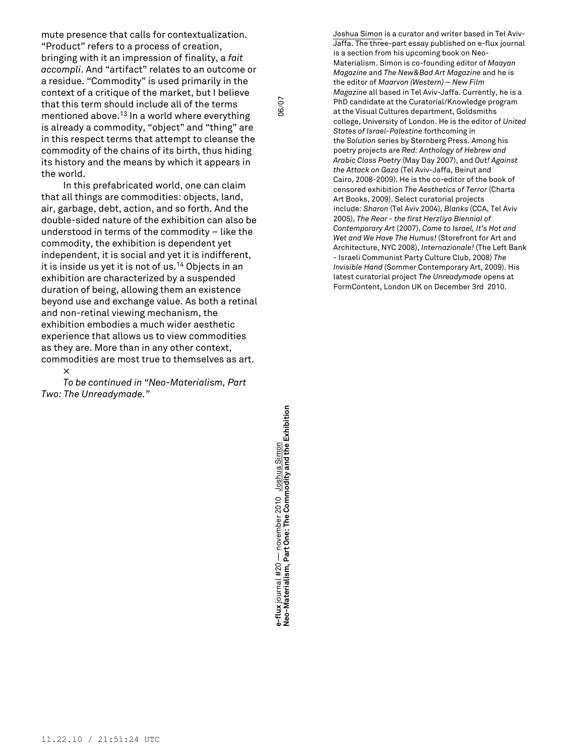mute presence that calls for contextualization. "Product" refers to a process of creation, bringing with it an impression of finality, a *fait accompli*. And "artifact" relates to an outcome or a residue. "Commodity" is used primarily in the context of a critique of the market, but I believe that this term should include all of the terms mentioned above. <sup>13</sup> In a world where everything is already a commodity, "object" and "thing" are in this respect terms that attempt to cleanse the commodity of the chains of its birth, thus hiding its history and the means by which it appears in the world.

In this prefabricated world, one can claim that all things are commodities: objects, land, air, garbage, debt, action, and so forth. And the double-sided nature of the exhibition can also be understood in terms of the commodity – like the commodity, the exhibition is dependent yet independent, it is social and yet it is indifferent, it is inside us yet it is not of us. <sup>14</sup> Objects in an exhibition are characterized by a suspended duration of being, allowing them an existence beyond use and exchange value. As both a retinal and non-retinal viewing mechanism, the exhibition embodies a much wider aesthetic experience that allows us to view commodities as they are. More than in any other context, commodities are most true to themselves as art.

× *To be continued in "Neo-Materialism, Part Two: The Unreadymade."*

**modity and the Exhibition** 06/07 e-flux journal #20 — november 2010 <u>Joshua Simon</u><br>Neo-Materialism, Part One: The Commodity and the Exhibition **e-flux** journal #20 — november 2010 Joshua Simon **Neo-Materialism, Part One: The Com**

06/07

Joshua Simon is a curator and writer based in Tel Aviv-Jaffa. The three-part essay published on e-flux journal is a section from his upcoming book on Neo-Materialism. Simon is co-founding editor of *Maayan Magazine* and *The New&Bad Art Magazine* and he is the editor of *Maarvon (Western) – New Film Magazine* all based in Tel Aviv-Jaffa. Currently, he is a PhD candidate at the Curatorial/Knowledge program at the Visual Cultures department, Goldsmiths college, University of London. He is the editor of *United States of Israel-Palestine* forthcoming in the *Solution* series by Sternberg Press. Among his poetry projects are *Red: Anthology of Hebrew and Arabic Class Poetry* (May Day 2007), and *Out! Against the Attack on Gaza* (Tel Aviv-Jaffa, Beirut and Cairo, 2008-2009). He is the co-editor of the book of censored exhibition *The Aesthetics of Terror* (Charta Art Books, 2009). Select curatorial projects include: *Sharon* (Tel Aviv 2004), *Blanks* (CCA, Tel Aviv 2005), *The Rear - the first Herzliya Biennial of Contemporary Art* (2007), *Come to Israel, It's Hot and Wet and We Have The Humus!* (Storefront for Art and Architecture, NYC 2008), *Internazionale!* (The Left Bank - Israeli Communist Party Culture Club, 2008) *The Invisible Hand* (Sommer Contemporary Art, 2009). His latest curatorial project *The Unreadymade* opens at FormContent, London UK on December 3rd 2010.